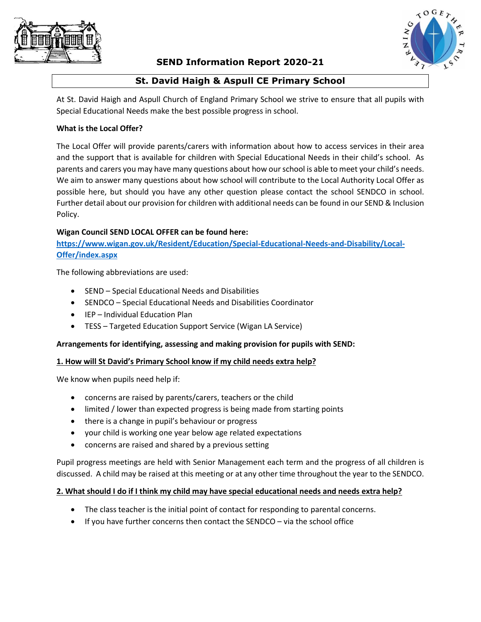

# **SEND Information Report 2020-21**



# **St. David Haigh & Aspull CE Primary School**

At St. David Haigh and Aspull Church of England Primary School we strive to ensure that all pupils with Special Educational Needs make the best possible progress in school.

### **What is the Local Offer?**

The Local Offer will provide parents/carers with information about how to access services in their area and the support that is available for children with Special Educational Needs in their child's school. As parents and carers you may have many questions about how our school is able to meet your child's needs. We aim to answer many questions about how school will contribute to the Local Authority Local Offer as possible here, but should you have any other question please contact the school SENDCO in school. Further detail about our provision for children with additional needs can be found in our SEND & Inclusion Policy.

#### **Wigan Council SEND LOCAL OFFER can be found here:**

**[https://www.wigan.gov.uk/Resident/Education/Special-Educational-Needs-and-Disability/Local-](https://www.wigan.gov.uk/Resident/Education/Special-Educational-Needs-and-Disability/Local-Offer/index.aspx)[Offer/index.aspx](https://www.wigan.gov.uk/Resident/Education/Special-Educational-Needs-and-Disability/Local-Offer/index.aspx)**

The following abbreviations are used:

- SEND Special Educational Needs and Disabilities
- SENDCO Special Educational Needs and Disabilities Coordinator
- IEP Individual Education Plan
- TESS Targeted Education Support Service (Wigan LA Service)

## **Arrangements for identifying, assessing and making provision for pupils with SEND:**

## **1. How will St David's Primary School know if my child needs extra help?**

We know when pupils need help if:

- concerns are raised by parents/carers, teachers or the child
- limited / lower than expected progress is being made from starting points
- there is a change in pupil's behaviour or progress
- your child is working one year below age related expectations
- concerns are raised and shared by a previous setting

Pupil progress meetings are held with Senior Management each term and the progress of all children is discussed. A child may be raised at this meeting or at any other time throughout the year to the SENDCO.

#### **2. What should I do if I think my child may have special educational needs and needs extra help?**

- The class teacher is the initial point of contact for responding to parental concerns.
- If you have further concerns then contact the SENDCO via the school office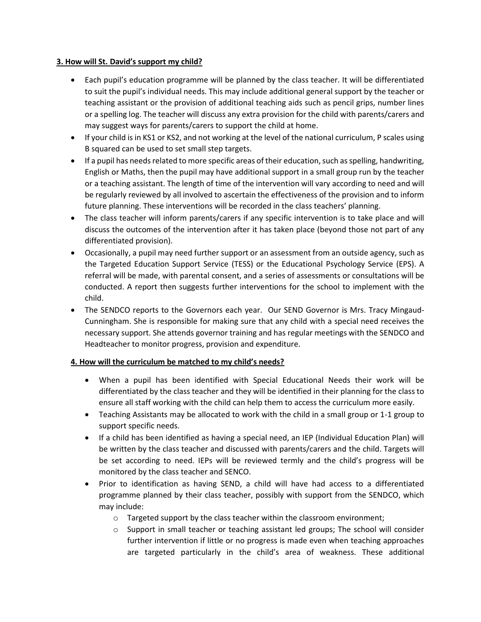### **3. How will St. David's support my child?**

- Each pupil's education programme will be planned by the class teacher. It will be differentiated to suit the pupil's individual needs. This may include additional general support by the teacher or teaching assistant or the provision of additional teaching aids such as pencil grips, number lines or a spelling log. The teacher will discuss any extra provision for the child with parents/carers and may suggest ways for parents/carers to support the child at home.
- If your child is in KS1 or KS2, and not working at the level of the national curriculum, P scales using B squared can be used to set small step targets.
- If a pupil has needs related to more specific areas of their education, such as spelling, handwriting, English or Maths, then the pupil may have additional support in a small group run by the teacher or a teaching assistant. The length of time of the intervention will vary according to need and will be regularly reviewed by all involved to ascertain the effectiveness of the provision and to inform future planning. These interventions will be recorded in the class teachers' planning.
- The class teacher will inform parents/carers if any specific intervention is to take place and will discuss the outcomes of the intervention after it has taken place (beyond those not part of any differentiated provision).
- Occasionally, a pupil may need further support or an assessment from an outside agency, such as the Targeted Education Support Service (TESS) or the Educational Psychology Service (EPS). A referral will be made, with parental consent, and a series of assessments or consultations will be conducted. A report then suggests further interventions for the school to implement with the child.
- The SENDCO reports to the Governors each year. Our SEND Governor is Mrs. Tracy Mingaud-Cunningham. She is responsible for making sure that any child with a special need receives the necessary support. She attends governor training and has regular meetings with the SENDCO and Headteacher to monitor progress, provision and expenditure.

## **4. How will the curriculum be matched to my child's needs?**

- When a pupil has been identified with Special Educational Needs their work will be differentiated by the class teacher and they will be identified in their planning for the class to ensure all staff working with the child can help them to access the curriculum more easily.
- Teaching Assistants may be allocated to work with the child in a small group or 1-1 group to support specific needs.
- If a child has been identified as having a special need, an IEP (Individual Education Plan) will be written by the class teacher and discussed with parents/carers and the child. Targets will be set according to need. IEPs will be reviewed termly and the child's progress will be monitored by the class teacher and SENCO.
- Prior to identification as having SEND, a child will have had access to a differentiated programme planned by their class teacher, possibly with support from the SENDCO, which may include:
	- o Targeted support by the class teacher within the classroom environment;
	- o Support in small teacher or teaching assistant led groups; The school will consider further intervention if little or no progress is made even when teaching approaches are targeted particularly in the child's area of weakness. These additional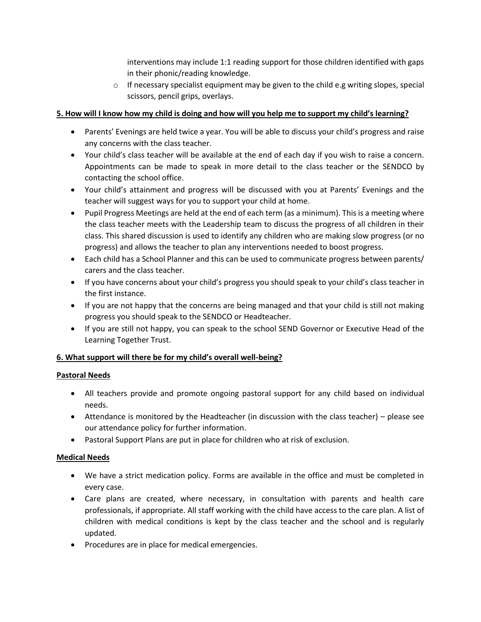interventions may include 1:1 reading support for those children identified with gaps in their phonic/reading knowledge.

 $\circ$  If necessary specialist equipment may be given to the child e.g writing slopes, special scissors, pencil grips, overlays.

## **5. How will I know how my child is doing and how will you help me to support my child's learning?**

- Parents' Evenings are held twice a year. You will be able to discuss your child's progress and raise any concerns with the class teacher.
- Your child's class teacher will be available at the end of each day if you wish to raise a concern. Appointments can be made to speak in more detail to the class teacher or the SENDCO by contacting the school office.
- Your child's attainment and progress will be discussed with you at Parents' Evenings and the teacher will suggest ways for you to support your child at home.
- Pupil Progress Meetings are held at the end of each term (as a minimum). This is a meeting where the class teacher meets with the Leadership team to discuss the progress of all children in their class. This shared discussion is used to identify any children who are making slow progress (or no progress) and allows the teacher to plan any interventions needed to boost progress.
- Each child has a School Planner and this can be used to communicate progress between parents/ carers and the class teacher.
- If you have concerns about your child's progress you should speak to your child's class teacher in the first instance.
- If you are not happy that the concerns are being managed and that your child is still not making progress you should speak to the SENDCO or Headteacher.
- If you are still not happy, you can speak to the school SEND Governor or Executive Head of the Learning Together Trust.

## **6. What support will there be for my child's overall well-being?**

## **Pastoral Needs**

- All teachers provide and promote ongoing pastoral support for any child based on individual needs.
- Attendance is monitored by the Headteacher (in discussion with the class teacher) please see our attendance policy for further information.
- Pastoral Support Plans are put in place for children who at risk of exclusion.

## **Medical Needs**

- We have a strict medication policy. Forms are available in the office and must be completed in every case.
- Care plans are created, where necessary, in consultation with parents and health care professionals, if appropriate. All staff working with the child have access to the care plan. A list of children with medical conditions is kept by the class teacher and the school and is regularly updated.
- Procedures are in place for medical emergencies.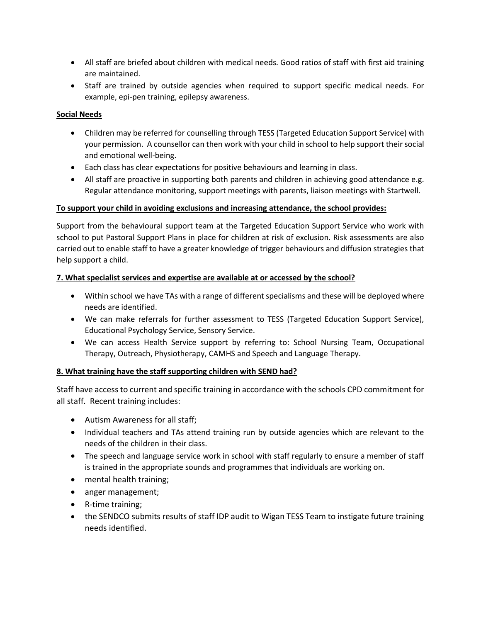- All staff are briefed about children with medical needs. Good ratios of staff with first aid training are maintained.
- Staff are trained by outside agencies when required to support specific medical needs. For example, epi-pen training, epilepsy awareness.

## **Social Needs**

- Children may be referred for counselling through TESS (Targeted Education Support Service) with your permission. A counsellor can then work with your child in school to help support their social and emotional well-being.
- Each class has clear expectations for positive behaviours and learning in class.
- All staff are proactive in supporting both parents and children in achieving good attendance e.g. Regular attendance monitoring, support meetings with parents, liaison meetings with Startwell.

### **To support your child in avoiding exclusions and increasing attendance, the school provides:**

Support from the behavioural support team at the Targeted Education Support Service who work with school to put Pastoral Support Plans in place for children at risk of exclusion. Risk assessments are also carried out to enable staff to have a greater knowledge of trigger behaviours and diffusion strategies that help support a child.

### **7. What specialist services and expertise are available at or accessed by the school?**

- Within school we have TAs with a range of different specialisms and these will be deployed where needs are identified.
- We can make referrals for further assessment to TESS (Targeted Education Support Service), Educational Psychology Service, Sensory Service.
- We can access Health Service support by referring to: School Nursing Team, Occupational Therapy, Outreach, Physiotherapy, CAMHS and Speech and Language Therapy.

## **8. What training have the staff supporting children with SEND had?**

Staff have access to current and specific training in accordance with the schools CPD commitment for all staff. Recent training includes:

- Autism Awareness for all staff;
- Individual teachers and TAs attend training run by outside agencies which are relevant to the needs of the children in their class.
- The speech and language service work in school with staff regularly to ensure a member of staff is trained in the appropriate sounds and programmes that individuals are working on.
- mental health training;
- anger management;
- R-time training;
- the SENDCO submits results of staff IDP audit to Wigan TESS Team to instigate future training needs identified.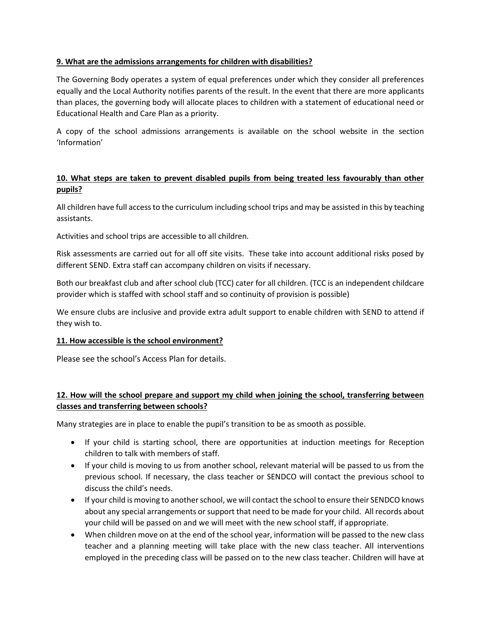### **9. What are the admissions arrangements for children with disabilities?**

The Governing Body operates a system of equal preferences under which they consider all preferences equally and the Local Authority notifies parents of the result. In the event that there are more applicants than places, the governing body will allocate places to children with a statement of educational need or Educational Health and Care Plan as a priority.

A copy of the school admissions arrangements is available on the school website in the section 'Information'

## **10. What steps are taken to prevent disabled pupils from being treated less favourably than other pupils?**

All children have full access to the curriculum including school trips and may be assisted in this by teaching assistants.

Activities and school trips are accessible to all children.

Risk assessments are carried out for all off site visits. These take into account additional risks posed by different SEND. Extra staff can accompany children on visits if necessary.

Both our breakfast club and after school club (TCC) cater for all children. (TCC is an independent childcare provider which is staffed with school staff and so continuity of provision is possible)

We ensure clubs are inclusive and provide extra adult support to enable children with SEND to attend if they wish to.

#### **11. How accessible is the school environment?**

Please see the school's Access Plan for details.

# **12. How will the school prepare and support my child when joining the school, transferring between classes and transferring between schools?**

Many strategies are in place to enable the pupil's transition to be as smooth as possible.

- If your child is starting school, there are opportunities at induction meetings for Reception children to talk with members of staff.
- If your child is moving to us from another school, relevant material will be passed to us from the previous school. If necessary, the class teacher or SENDCO will contact the previous school to discuss the child's needs.
- If your child is moving to another school, we will contact the school to ensure their SENDCO knows about any special arrangements or support that need to be made for your child. All records about your child will be passed on and we will meet with the new school staff, if appropriate.
- When children move on at the end of the school year, information will be passed to the new class teacher and a planning meeting will take place with the new class teacher. All interventions employed in the preceding class will be passed on to the new class teacher. Children will have at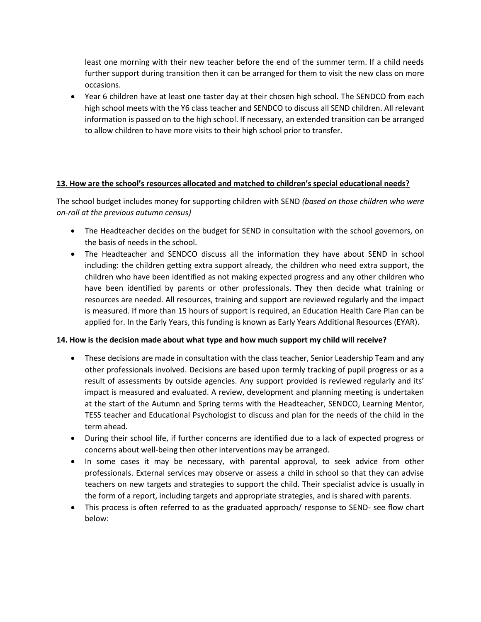least one morning with their new teacher before the end of the summer term. If a child needs further support during transition then it can be arranged for them to visit the new class on more occasions.

 Year 6 children have at least one taster day at their chosen high school. The SENDCO from each high school meets with the Y6 class teacher and SENDCO to discuss all SEND children. All relevant information is passed on to the high school. If necessary, an extended transition can be arranged to allow children to have more visits to their high school prior to transfer.

### **13. How are the school's resources allocated and matched to children's special educational needs?**

The school budget includes money for supporting children with SEND *(based on those children who were on-roll at the previous autumn census)*

- The Headteacher decides on the budget for SEND in consultation with the school governors, on the basis of needs in the school.
- The Headteacher and SENDCO discuss all the information they have about SEND in school including: the children getting extra support already, the children who need extra support, the children who have been identified as not making expected progress and any other children who have been identified by parents or other professionals. They then decide what training or resources are needed. All resources, training and support are reviewed regularly and the impact is measured. If more than 15 hours of support is required, an Education Health Care Plan can be applied for. In the Early Years, this funding is known as Early Years Additional Resources (EYAR).

#### **14. How is the decision made about what type and how much support my child will receive?**

- These decisions are made in consultation with the class teacher, Senior Leadership Team and any other professionals involved. Decisions are based upon termly tracking of pupil progress or as a result of assessments by outside agencies. Any support provided is reviewed regularly and its' impact is measured and evaluated. A review, development and planning meeting is undertaken at the start of the Autumn and Spring terms with the Headteacher, SENDCO, Learning Mentor, TESS teacher and Educational Psychologist to discuss and plan for the needs of the child in the term ahead.
- During their school life, if further concerns are identified due to a lack of expected progress or concerns about well-being then other interventions may be arranged.
- In some cases it may be necessary, with parental approval, to seek advice from other professionals. External services may observe or assess a child in school so that they can advise teachers on new targets and strategies to support the child. Their specialist advice is usually in the form of a report, including targets and appropriate strategies, and is shared with parents.
- This process is often referred to as the graduated approach/ response to SEND- see flow chart below: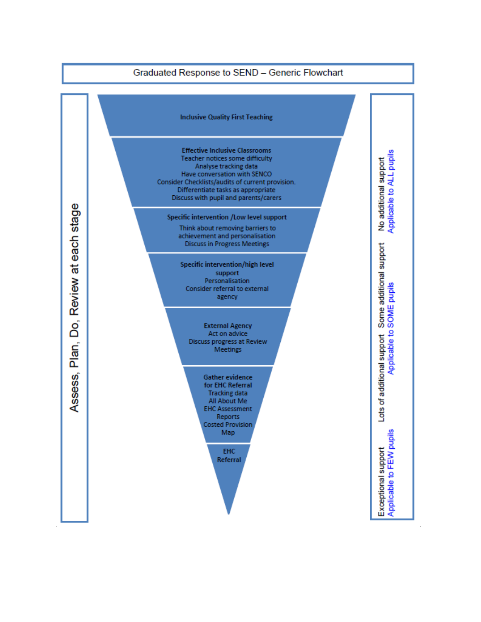